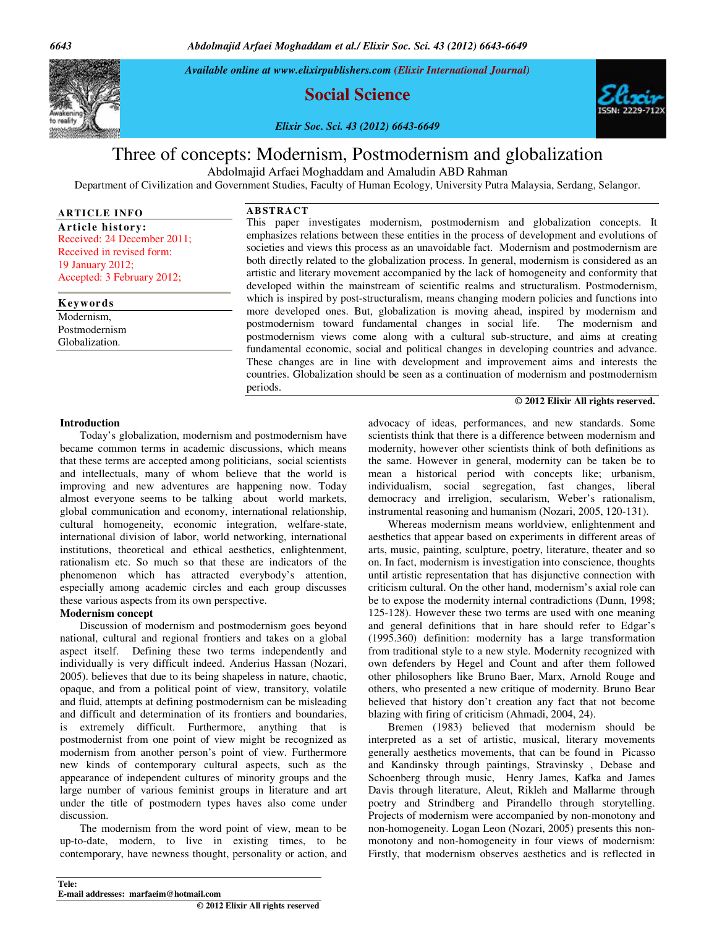*6643 Abdolmajid Arfaei Moghaddam et al./ Elixir Soc. Sci. 43 (2012) 6643-6649*

*Available online at www.elixirpublishers.com (Elixir International Journal)* 

**Social Science** 

*Elixir Soc. Sci. 43 (2012) 6643-6649*



# Three of concepts: Modernism, Postmodernism and globalization

Abdolmajid Arfaei Moghaddam and Amaludin ABD Rahman

**AB STRACT** 

Department of Civilization and Government Studies, Faculty of Human Ecology, University Putra Malaysia, Serdang, Selangor.

# **ARTICLE INF O**

**Article history:**  Received: 24 December 2011; Received in revised form: 19 January 2012; Accepted: 3 February 2012;

# **Keywords**

Modernism, Postmodernism Globalization.

This paper investigates modernism, postmodernism and globalization concepts. It emphasizes relations between these entities in the process of development and evolutions of societies and views this process as an unavoidable fact. Modernism and postmodernism are both directly related to the globalization process. In general, modernism is considered as an artistic and literary movement accompanied by the lack of homogeneity and conformity that developed within the mainstream of scientific realms and structuralism. Postmodernism, which is inspired by post-structuralism, means changing modern policies and functions into more developed ones. But, globalization is moving ahead, inspired by modernism and postmodernism toward fundamental changes in social life. The modernism and postmodernism views come along with a cultural sub-structure, and aims at creating fundamental economic, social and political changes in developing countries and advance. These changes are in line with development and improvement aims and interests the countries. Globalization should be seen as a continuation of modernism and postmodernism periods.

#### **© 2012 Elixir All rights reserved.**

#### **Introduction**

 Today's globalization, modernism and postmodernism have became common terms in academic discussions, which means that these terms are accepted among politicians, social scientists and intellectuals, many of whom believe that the world is improving and new adventures are happening now. Today almost everyone seems to be talking about world markets, global communication and economy, international relationship, cultural homogeneity, economic integration, welfare-state, international division of labor, world networking, international institutions, theoretical and ethical aesthetics, enlightenment, rationalism etc. So much so that these are indicators of the phenomenon which has attracted everybody's attention, especially among academic circles and each group discusses these various aspects from its own perspective.

#### **Modernism concept**

 Discussion of modernism and postmodernism goes beyond national, cultural and regional frontiers and takes on a global aspect itself. Defining these two terms independently and individually is very difficult indeed. Anderius Hassan (Nozari, 2005). believes that due to its being shapeless in nature, chaotic, opaque, and from a political point of view, transitory, volatile and fluid, attempts at defining postmodernism can be misleading and difficult and determination of its frontiers and boundaries, is extremely difficult. Furthermore, anything that is postmodernist from one point of view might be recognized as modernism from another person's point of view. Furthermore new kinds of contemporary cultural aspects, such as the appearance of independent cultures of minority groups and the large number of various feminist groups in literature and art under the title of postmodern types haves also come under discussion.

 The modernism from the word point of view, mean to be up-to-date, modern, to live in existing times, to be contemporary, have newness thought, personality or action, and advocacy of ideas, performances, and new standards. Some scientists think that there is a difference between modernism and modernity, however other scientists think of both definitions as the same. However in general, modernity can be taken be to mean a historical period with concepts like; urbanism, individualism, social segregation, fast changes, liberal democracy and irreligion, secularism, Weber's rationalism, instrumental reasoning and humanism (Nozari, 2005, 120-131).

 Whereas modernism means worldview, enlightenment and aesthetics that appear based on experiments in different areas of arts, music, painting, sculpture, poetry, literature, theater and so on. In fact, modernism is investigation into conscience, thoughts until artistic representation that has disjunctive connection with criticism cultural. On the other hand, modernism's axial role can be to expose the modernity internal contradictions (Dunn, 1998; 125-128). However these two terms are used with one meaning and general definitions that in hare should refer to Edgar's (1995.360) definition: modernity has a large transformation from traditional style to a new style. Modernity recognized with own defenders by Hegel and Count and after them followed other philosophers like Bruno Baer, Marx, Arnold Rouge and others, who presented a new critique of modernity. Bruno Bear believed that history don't creation any fact that not become blazing with firing of criticism (Ahmadi, 2004, 24).

 Bremen (1983) believed that modernism should be interpreted as a set of artistic, musical, literary movements generally aesthetics movements, that can be found in Picasso and Kandinsky through paintings, Stravinsky , Debase and Schoenberg through music, Henry James, Kafka and James Davis through literature, Aleut, Rikleh and Mallarme through poetry and Strindberg and Pirandello through storytelling. Projects of modernism were accompanied by non-monotony and non-homogeneity. Logan Leon (Nozari, 2005) presents this nonmonotony and non-homogeneity in four views of modernism: Firstly, that modernism observes aesthetics and is reflected in

#### **Tele: E-mail addresses: marfaeim@hotmail.com © 2012 Elixir All rights reserved**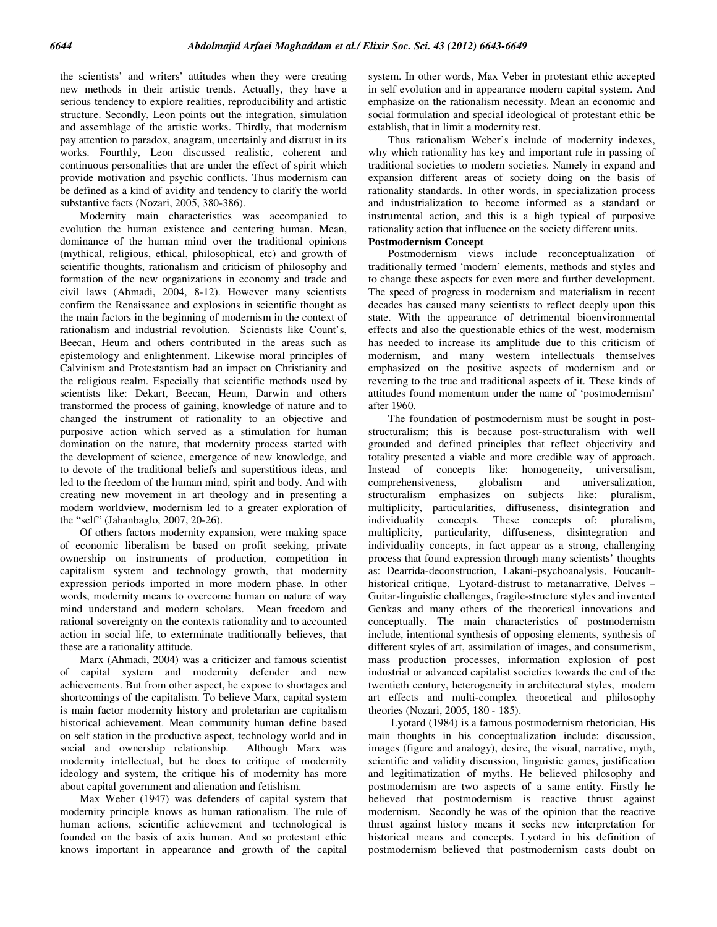the scientists' and writers' attitudes when they were creating new methods in their artistic trends. Actually, they have a serious tendency to explore realities, reproducibility and artistic structure. Secondly, Leon points out the integration, simulation and assemblage of the artistic works. Thirdly, that modernism pay attention to paradox, anagram, uncertainly and distrust in its works. Fourthly, Leon discussed realistic, coherent and continuous personalities that are under the effect of spirit which provide motivation and psychic conflicts. Thus modernism can be defined as a kind of avidity and tendency to clarify the world substantive facts (Nozari, 2005, 380-386).

 Modernity main characteristics was accompanied to evolution the human existence and centering human. Mean, dominance of the human mind over the traditional opinions (mythical, religious, ethical, philosophical, etc) and growth of scientific thoughts, rationalism and criticism of philosophy and formation of the new organizations in economy and trade and civil laws (Ahmadi, 2004, 8-12). However many scientists confirm the Renaissance and explosions in scientific thought as the main factors in the beginning of modernism in the context of rationalism and industrial revolution. Scientists like Count's, Beecan, Heum and others contributed in the areas such as epistemology and enlightenment. Likewise moral principles of Calvinism and Protestantism had an impact on Christianity and the religious realm. Especially that scientific methods used by scientists like: Dekart, Beecan, Heum, Darwin and others transformed the process of gaining, knowledge of nature and to changed the instrument of rationality to an objective and purposive action which served as a stimulation for human domination on the nature, that modernity process started with the development of science, emergence of new knowledge, and to devote of the traditional beliefs and superstitious ideas, and led to the freedom of the human mind, spirit and body. And with creating new movement in art theology and in presenting a modern worldview, modernism led to a greater exploration of the "self" (Jahanbaglo, 2007, 20-26).

 Of others factors modernity expansion, were making space of economic liberalism be based on profit seeking, private ownership on instruments of production, competition in capitalism system and technology growth, that modernity expression periods imported in more modern phase. In other words, modernity means to overcome human on nature of way mind understand and modern scholars. Mean freedom and rational sovereignty on the contexts rationality and to accounted action in social life, to exterminate traditionally believes, that these are a rationality attitude.

 Marx (Ahmadi, 2004) was a criticizer and famous scientist of capital system and modernity defender and new achievements. But from other aspect, he expose to shortages and shortcomings of the capitalism. To believe Marx, capital system is main factor modernity history and proletarian are capitalism historical achievement. Mean community human define based on self station in the productive aspect, technology world and in social and ownership relationship. Although Marx was modernity intellectual, but he does to critique of modernity ideology and system, the critique his of modernity has more about capital government and alienation and fetishism.

 Max Weber (1947) was defenders of capital system that modernity principle knows as human rationalism. The rule of human actions, scientific achievement and technological is founded on the basis of axis human. And so protestant ethic knows important in appearance and growth of the capital system. In other words, Max Veber in protestant ethic accepted in self evolution and in appearance modern capital system. And emphasize on the rationalism necessity. Mean an economic and social formulation and special ideological of protestant ethic be establish, that in limit a modernity rest.

 Thus rationalism Weber's include of modernity indexes, why which rationality has key and important rule in passing of traditional societies to modern societies. Namely in expand and expansion different areas of society doing on the basis of rationality standards. In other words, in specialization process and industrialization to become informed as a standard or instrumental action, and this is a high typical of purposive rationality action that influence on the society different units.

#### **Postmodernism Concept**

 Postmodernism views include reconceptualization of traditionally termed 'modern' elements, methods and styles and to change these aspects for even more and further development. The speed of progress in modernism and materialism in recent decades has caused many scientists to reflect deeply upon this state. With the appearance of detrimental bioenvironmental effects and also the questionable ethics of the west, modernism has needed to increase its amplitude due to this criticism of modernism, and many western intellectuals themselves emphasized on the positive aspects of modernism and or reverting to the true and traditional aspects of it. These kinds of attitudes found momentum under the name of 'postmodernism' after 1960.

 The foundation of postmodernism must be sought in poststructuralism; this is because post-structuralism with well grounded and defined principles that reflect objectivity and totality presented a viable and more credible way of approach. Instead of concepts like: homogeneity, universalism, comprehensiveness, globalism and universalization, comprehensiveness, globalism and universalization, structuralism emphasizes on subjects like: pluralism, multiplicity, particularities, diffuseness, disintegration and individuality concepts. These concepts of: pluralism, multiplicity, particularity, diffuseness, disintegration and individuality concepts, in fact appear as a strong, challenging process that found expression through many scientists' thoughts as: Dearrida-deconstruction, Lakani-psychoanalysis, Foucaulthistorical critique, Lyotard-distrust to metanarrative, Delves – Guitar-linguistic challenges, fragile-structure styles and invented Genkas and many others of the theoretical innovations and conceptually. The main characteristics of postmodernism include, intentional synthesis of opposing elements, synthesis of different styles of art, assimilation of images, and consumerism, mass production processes, information explosion of post industrial or advanced capitalist societies towards the end of the twentieth century, heterogeneity in architectural styles, modern art effects and multi-complex theoretical and philosophy theories (Nozari, 2005, 180 - 185).

 Lyotard (1984) is a famous postmodernism rhetorician, His main thoughts in his conceptualization include: discussion, images (figure and analogy), desire, the visual, narrative, myth, scientific and validity discussion, linguistic games, justification and legitimatization of myths. He believed philosophy and postmodernism are two aspects of a same entity. Firstly he believed that postmodernism is reactive thrust against modernism. Secondly he was of the opinion that the reactive thrust against history means it seeks new interpretation for historical means and concepts. Lyotard in his definition of postmodernism believed that postmodernism casts doubt on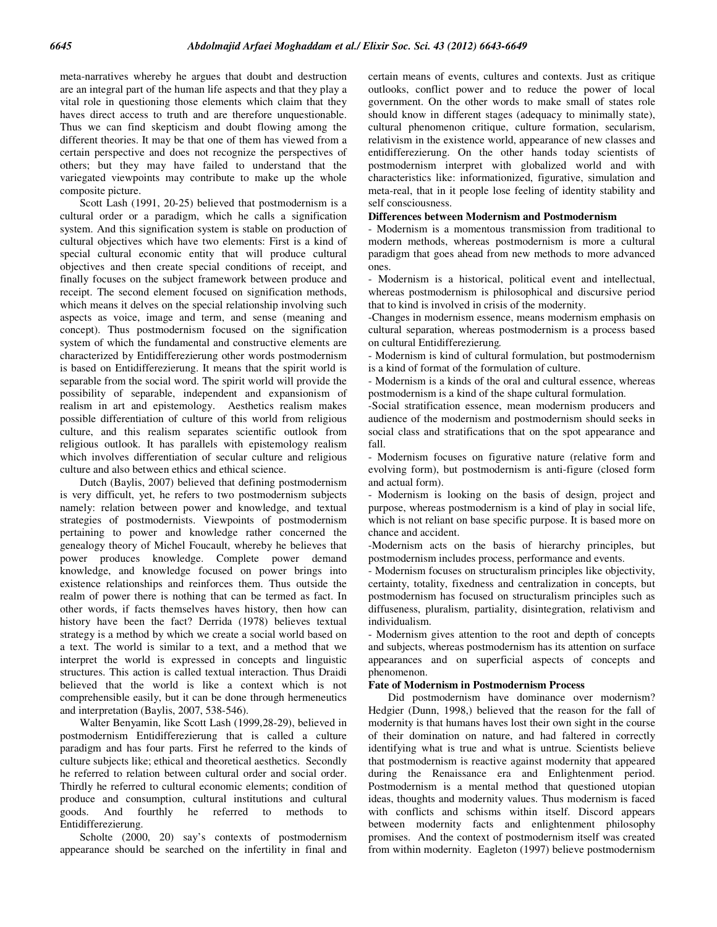meta-narratives whereby he argues that doubt and destruction are an integral part of the human life aspects and that they play a vital role in questioning those elements which claim that they haves direct access to truth and are therefore unquestionable. Thus we can find skepticism and doubt flowing among the different theories. It may be that one of them has viewed from a certain perspective and does not recognize the perspectives of others; but they may have failed to understand that the variegated viewpoints may contribute to make up the whole composite picture.

 Scott Lash (1991, 20-25) believed that postmodernism is a cultural order or a paradigm, which he calls a signification system. And this signification system is stable on production of cultural objectives which have two elements: First is a kind of special cultural economic entity that will produce cultural objectives and then create special conditions of receipt, and finally focuses on the subject framework between produce and receipt. The second element focused on signification methods, which means it delves on the special relationship involving such aspects as voice, image and term, and sense (meaning and concept). Thus postmodernism focused on the signification system of which the fundamental and constructive elements are characterized by Entidifferezierung other words postmodernism is based on Entidifferezierung. It means that the spirit world is separable from the social word. The spirit world will provide the possibility of separable, independent and expansionism of realism in art and epistemology. Aesthetics realism makes possible differentiation of culture of this world from religious culture, and this realism separates scientific outlook from religious outlook. It has parallels with epistemology realism which involves differentiation of secular culture and religious culture and also between ethics and ethical science.

 Dutch (Baylis, 2007) believed that defining postmodernism is very difficult, yet, he refers to two postmodernism subjects namely: relation between power and knowledge, and textual strategies of postmodernists. Viewpoints of postmodernism pertaining to power and knowledge rather concerned the genealogy theory of Michel Foucault, whereby he believes that power produces knowledge. Complete power demand knowledge, and knowledge focused on power brings into existence relationships and reinforces them. Thus outside the realm of power there is nothing that can be termed as fact. In other words, if facts themselves haves history, then how can history have been the fact? Derrida (1978) believes textual strategy is a method by which we create a social world based on a text. The world is similar to a text, and a method that we interpret the world is expressed in concepts and linguistic structures. This action is called textual interaction. Thus Draidi believed that the world is like a context which is not comprehensible easily, but it can be done through hermeneutics and interpretation (Baylis, 2007, 538-546).

 Walter Benyamin, like Scott Lash (1999,28-29), believed in postmodernism Entidifferezierung that is called a culture paradigm and has four parts. First he referred to the kinds of culture subjects like; ethical and theoretical aesthetics. Secondly he referred to relation between cultural order and social order. Thirdly he referred to cultural economic elements; condition of produce and consumption, cultural institutions and cultural goods. And fourthly he referred to methods to Entidifferezierung.

 Scholte (2000, 20) say's contexts of postmodernism appearance should be searched on the infertility in final and certain means of events, cultures and contexts. Just as critique outlooks, conflict power and to reduce the power of local government. On the other words to make small of states role should know in different stages (adequacy to minimally state), cultural phenomenon critique, culture formation, secularism, relativism in the existence world, appearance of new classes and entidifferezierung. On the other hands today scientists of postmodernism interpret with globalized world and with characteristics like: informationized, figurative, simulation and meta-real, that in it people lose feeling of identity stability and self consciousness.

## **Differences between Modernism and Postmodernism**

- Modernism is a momentous transmission from traditional to modern methods, whereas postmodernism is more a cultural paradigm that goes ahead from new methods to more advanced ones.

- Modernism is a historical, political event and intellectual, whereas postmodernism is philosophical and discursive period that to kind is involved in crisis of the modernity.

-Changes in modernism essence, means modernism emphasis on cultural separation, whereas postmodernism is a process based on cultural Entidifferezierung*.*

- Modernism is kind of cultural formulation, but postmodernism is a kind of format of the formulation of culture.

- Modernism is a kinds of the oral and cultural essence, whereas postmodernism is a kind of the shape cultural formulation.

-Social stratification essence, mean modernism producers and audience of the modernism and postmodernism should seeks in social class and stratifications that on the spot appearance and fall.

- Modernism focuses on figurative nature (relative form and evolving form), but postmodernism is anti-figure (closed form and actual form).

- Modernism is looking on the basis of design, project and purpose, whereas postmodernism is a kind of play in social life, which is not reliant on base specific purpose. It is based more on chance and accident.

-Modernism acts on the basis of hierarchy principles, but postmodernism includes process, performance and events.

- Modernism focuses on structuralism principles like objectivity, certainty, totality, fixedness and centralization in concepts, but postmodernism has focused on structuralism principles such as diffuseness, pluralism, partiality, disintegration, relativism and individualism.

- Modernism gives attention to the root and depth of concepts and subjects, whereas postmodernism has its attention on surface appearances and on superficial aspects of concepts and phenomenon.

#### **Fate of Modernism in Postmodernism Process**

 Did postmodernism have dominance over modernism? Hedgier (Dunn, 1998,) believed that the reason for the fall of modernity is that humans haves lost their own sight in the course of their domination on nature, and had faltered in correctly identifying what is true and what is untrue. Scientists believe that postmodernism is reactive against modernity that appeared during the Renaissance era and Enlightenment period. Postmodernism is a mental method that questioned utopian ideas, thoughts and modernity values. Thus modernism is faced with conflicts and schisms within itself. Discord appears between modernity facts and enlightenment philosophy promises. And the context of postmodernism itself was created from within modernity. Eagleton (1997) believe postmodernism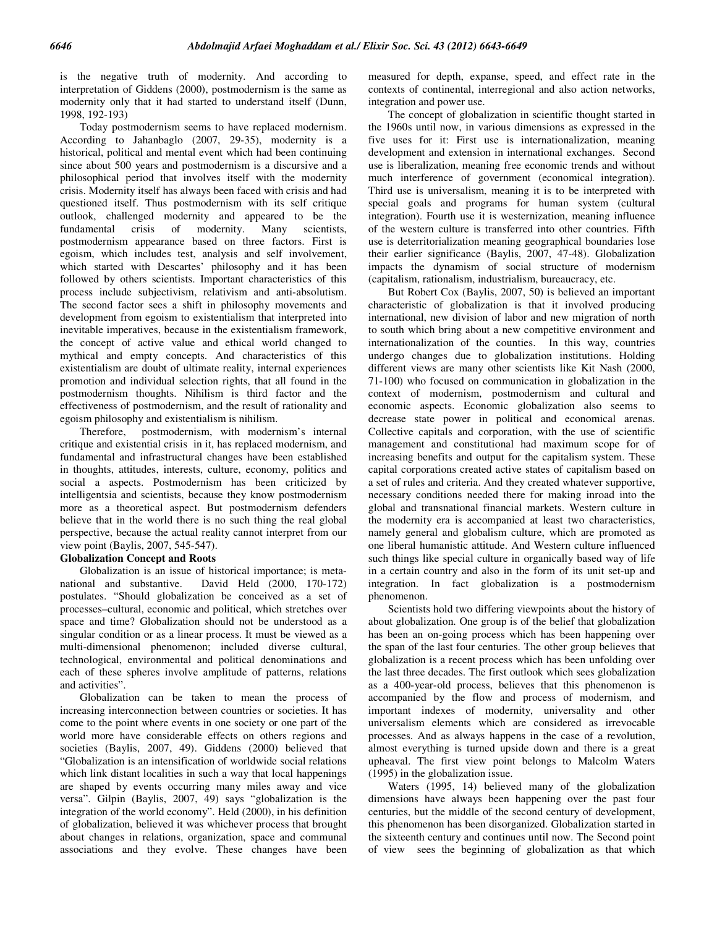is the negative truth of modernity. And according to interpretation of Giddens (2000), postmodernism is the same as modernity only that it had started to understand itself (Dunn, 1998, 192-193)

 Today postmodernism seems to have replaced modernism. According to Jahanbaglo (2007, 29-35), modernity is a historical, political and mental event which had been continuing since about 500 years and postmodernism is a discursive and a philosophical period that involves itself with the modernity crisis. Modernity itself has always been faced with crisis and had questioned itself. Thus postmodernism with its self critique outlook, challenged modernity and appeared to be the fundamental crisis of modernity. Many scientists, postmodernism appearance based on three factors. First is egoism, which includes test, analysis and self involvement, which started with Descartes' philosophy and it has been followed by others scientists. Important characteristics of this process include subjectivism, relativism and anti-absolutism. The second factor sees a shift in philosophy movements and development from egoism to existentialism that interpreted into inevitable imperatives, because in the existentialism framework, the concept of active value and ethical world changed to mythical and empty concepts. And characteristics of this existentialism are doubt of ultimate reality, internal experiences promotion and individual selection rights, that all found in the postmodernism thoughts. Nihilism is third factor and the effectiveness of postmodernism, and the result of rationality and egoism philosophy and existentialism is nihilism.

 Therefore, postmodernism, with modernism's internal critique and existential crisis in it, has replaced modernism, and fundamental and infrastructural changes have been established in thoughts, attitudes, interests, culture, economy, politics and social a aspects. Postmodernism has been criticized by intelligentsia and scientists, because they know postmodernism more as a theoretical aspect. But postmodernism defenders believe that in the world there is no such thing the real global perspective, because the actual reality cannot interpret from our view point (Baylis, 2007, 545-547).

#### **Globalization Concept and Roots**

 Globalization is an issue of historical importance; is metanational and substantive. David Held (2000, 170-172) postulates. "Should globalization be conceived as a set of processes–cultural, economic and political, which stretches over space and time? Globalization should not be understood as a singular condition or as a linear process. It must be viewed as a multi-dimensional phenomenon; included diverse cultural, technological, environmental and political denominations and each of these spheres involve amplitude of patterns, relations and activities".

 Globalization can be taken to mean the process of increasing interconnection between countries or societies. It has come to the point where events in one society or one part of the world more have considerable effects on others regions and societies (Baylis, 2007, 49). Giddens (2000) believed that "Globalization is an intensification of worldwide social relations which link distant localities in such a way that local happenings are shaped by events occurring many miles away and vice versa". Gilpin (Baylis, 2007, 49) says "globalization is the integration of the world economy". Held (2000), in his definition of globalization, believed it was whichever process that brought about changes in relations, organization, space and communal associations and they evolve. These changes have been measured for depth, expanse, speed, and effect rate in the contexts of continental, interregional and also action networks, integration and power use.

 The concept of globalization in scientific thought started in the 1960s until now, in various dimensions as expressed in the five uses for it: First use is internationalization, meaning development and extension in international exchanges. Second use is liberalization, meaning free economic trends and without much interference of government (economical integration). Third use is universalism, meaning it is to be interpreted with special goals and programs for human system (cultural integration). Fourth use it is westernization, meaning influence of the western culture is transferred into other countries. Fifth use is deterritorialization meaning geographical boundaries lose their earlier significance (Baylis, 2007, 47-48). Globalization impacts the dynamism of social structure of modernism (capitalism, rationalism, industrialism, bureaucracy, etc.

 But Robert Cox (Baylis, 2007, 50) is believed an important characteristic of globalization is that it involved producing international, new division of labor and new migration of north to south which bring about a new competitive environment and internationalization of the counties. In this way, countries undergo changes due to globalization institutions. Holding different views are many other scientists like Kit Nash (2000, 71-100) who focused on communication in globalization in the context of modernism, postmodernism and cultural and economic aspects. Economic globalization also seems to decrease state power in political and economical arenas. Collective capitals and corporation, with the use of scientific management and constitutional had maximum scope for of increasing benefits and output for the capitalism system. These capital corporations created active states of capitalism based on a set of rules and criteria. And they created whatever supportive, necessary conditions needed there for making inroad into the global and transnational financial markets. Western culture in the modernity era is accompanied at least two characteristics, namely general and globalism culture, which are promoted as one liberal humanistic attitude. And Western culture influenced such things like special culture in organically based way of life in a certain country and also in the form of its unit set-up and integration. In fact globalization is a postmodernism phenomenon.

 Scientists hold two differing viewpoints about the history of about globalization. One group is of the belief that globalization has been an on-going process which has been happening over the span of the last four centuries. The other group believes that globalization is a recent process which has been unfolding over the last three decades. The first outlook which sees globalization as a 400-year-old process, believes that this phenomenon is accompanied by the flow and process of modernism, and important indexes of modernity, universality and other universalism elements which are considered as irrevocable processes. And as always happens in the case of a revolution, almost everything is turned upside down and there is a great upheaval. The first view point belongs to Malcolm Waters (1995) in the globalization issue.

 Waters (1995, 14) believed many of the globalization dimensions have always been happening over the past four centuries, but the middle of the second century of development, this phenomenon has been disorganized. Globalization started in the sixteenth century and continues until now. The Second point of view sees the beginning of globalization as that which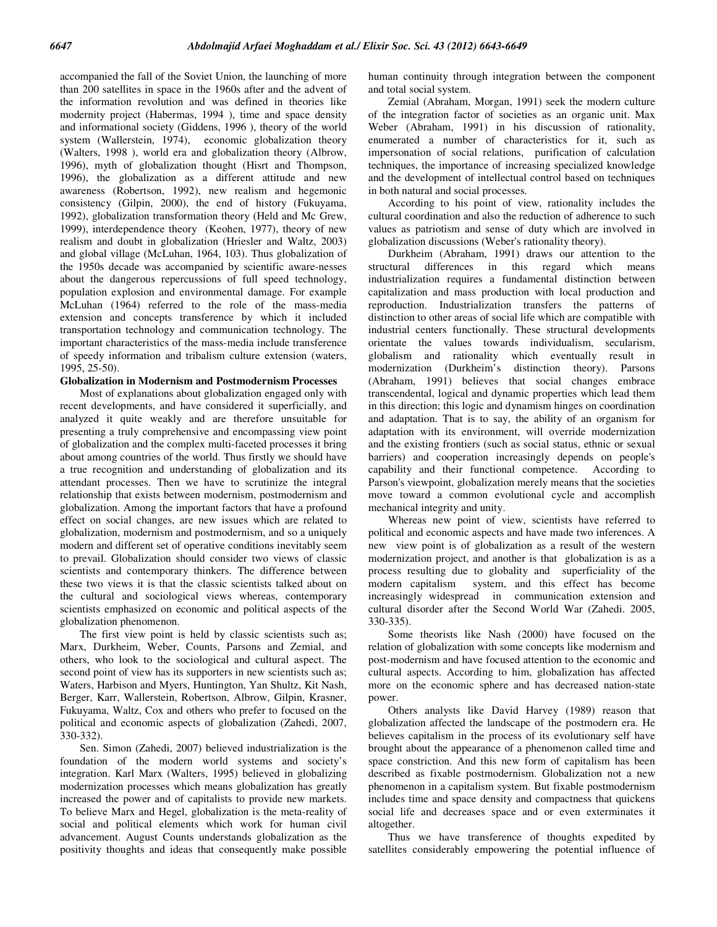accompanied the fall of the Soviet Union, the launching of more than 200 satellites in space in the 1960s after and the advent of the information revolution and was defined in theories like modernity project (Habermas, 1994 ), time and space density and informational society (Giddens, 1996 ), theory of the world system (Wallerstein, 1974), economic globalization theory (Walters, 1998 ), world era and globalization theory (Albrow, 1996), myth of globalization thought (Hisrt and Thompson, 1996), the globalization as a different attitude and new awareness (Robertson, 1992), new realism and hegemonic consistency (Gilpin, 2000), the end of history (Fukuyama, 1992), globalization transformation theory (Held and Mc Grew, 1999), interdependence theory (Keohen, 1977), theory of new realism and doubt in globalization (Hriesler and Waltz, 2003) and global village (McLuhan, 1964, 103). Thus globalization of the 1950s decade was accompanied by scientific aware-nesses about the dangerous repercussions of full speed technology, population explosion and environmental damage. For example McLuhan (1964) referred to the role of the mass-media extension and concepts transference by which it included transportation technology and communication technology. The important characteristics of the mass-media include transference of speedy information and tribalism culture extension (waters, 1995, 25-50).

## **Globalization in Modernism and Postmodernism Processes**

 Most of explanations about globalization engaged only with recent developments, and have considered it superficially, and analyzed it quite weakly and are therefore unsuitable for presenting a truly comprehensive and encompassing view point of globalization and the complex multi-faceted processes it bring about among countries of the world. Thus firstly we should have a true recognition and understanding of globalization and its attendant processes. Then we have to scrutinize the integral relationship that exists between modernism, postmodernism and globalization. Among the important factors that have a profound effect on social changes, are new issues which are related to globalization, modernism and postmodernism, and so a uniquely modern and different set of operative conditions inevitably seem to prevail. Globalization should consider two views of classic scientists and contemporary thinkers. The difference between these two views it is that the classic scientists talked about on the cultural and sociological views whereas, contemporary scientists emphasized on economic and political aspects of the globalization phenomenon.

 The first view point is held by classic scientists such as; Marx, Durkheim, Weber, Counts, Parsons and Zemial, and others, who look to the sociological and cultural aspect. The second point of view has its supporters in new scientists such as; Waters, Harbison and Myers, Huntington, Yan Shultz, Kit Nash, Berger, Karr, Wallerstein, Robertson, Albrow, Gilpin, Krasner, Fukuyama, Waltz, Cox and others who prefer to focused on the political and economic aspects of globalization (Zahedi, 2007, 330-332).

 Sen. Simon (Zahedi, 2007) believed industrialization is the foundation of the modern world systems and society's integration. Karl Marx (Walters, 1995) believed in globalizing modernization processes which means globalization has greatly increased the power and of capitalists to provide new markets. To believe Marx and Hegel, globalization is the meta-reality of social and political elements which work for human civil advancement. August Counts understands globalization as the positivity thoughts and ideas that consequently make possible human continuity through integration between the component and total social system.

 Zemial (Abraham, Morgan, 1991) seek the modern culture of the integration factor of societies as an organic unit. Max Weber (Abraham, 1991) in his discussion of rationality, enumerated a number of characteristics for it, such as impersonation of social relations, purification of calculation techniques, the importance of increasing specialized knowledge and the development of intellectual control based on techniques in both natural and social processes.

 According to his point of view, rationality includes the cultural coordination and also the reduction of adherence to such values as patriotism and sense of duty which are involved in globalization discussions (Weber's rationality theory).

 Durkheim (Abraham, 1991) draws our attention to the structural differences in this regard which means industrialization requires a fundamental distinction between capitalization and mass production with local production and reproduction. Industrialization transfers the patterns of distinction to other areas of social life which are compatible with industrial centers functionally. These structural developments orientate the values towards individualism, secularism, globalism and rationality which eventually result in modernization (Durkheim's distinction theory). Parsons (Abraham, 1991) believes that social changes embrace transcendental, logical and dynamic properties which lead them in this direction; this logic and dynamism hinges on coordination and adaptation. That is to say, the ability of an organism for adaptation with its environment, will override modernization and the existing frontiers (such as social status, ethnic or sexual barriers) and cooperation increasingly depends on people's capability and their functional competence. According to Parson's viewpoint, globalization merely means that the societies move toward a common evolutional cycle and accomplish mechanical integrity and unity.

 Whereas new point of view, scientists have referred to political and economic aspects and have made two inferences. A new view point is of globalization as a result of the western modernization project, and another is that globalization is as a process resulting due to globality and superficiality of the modern capitalism system, and this effect has become increasingly widespread in communication extension and cultural disorder after the Second World War (Zahedi. 2005, 330-335).

 Some theorists like Nash (2000) have focused on the relation of globalization with some concepts like modernism and post-modernism and have focused attention to the economic and cultural aspects. According to him, globalization has affected more on the economic sphere and has decreased nation-state power.

 Others analysts like David Harvey (1989) reason that globalization affected the landscape of the postmodern era. He believes capitalism in the process of its evolutionary self have brought about the appearance of a phenomenon called time and space constriction. And this new form of capitalism has been described as fixable postmodernism. Globalization not a new phenomenon in a capitalism system. But fixable postmodernism includes time and space density and compactness that quickens social life and decreases space and or even exterminates it altogether.

 Thus we have transference of thoughts expedited by satellites considerably empowering the potential influence of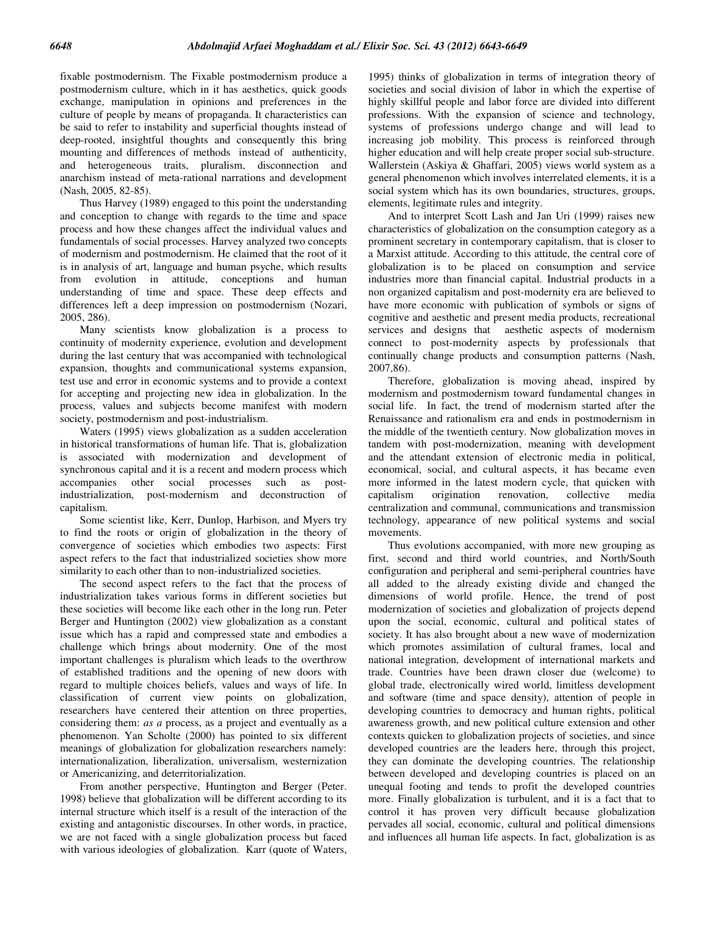fixable postmodernism. The Fixable postmodernism produce a postmodernism culture, which in it has aesthetics, quick goods exchange, manipulation in opinions and preferences in the culture of people by means of propaganda. It characteristics can be said to refer to instability and superficial thoughts instead of deep-rooted, insightful thoughts and consequently this bring mounting and differences of methods instead of authenticity, and heterogeneous traits, pluralism, disconnection and anarchism instead of meta-rational narrations and development (Nash, 2005, 82-85).

 Thus Harvey (1989) engaged to this point the understanding and conception to change with regards to the time and space process and how these changes affect the individual values and fundamentals of social processes. Harvey analyzed two concepts of modernism and postmodernism. He claimed that the root of it is in analysis of art, language and human psyche, which results from evolution in attitude, conceptions and human understanding of time and space. These deep effects and differences left a deep impression on postmodernism (Nozari, 2005, 286).

 Many scientists know globalization is a process to continuity of modernity experience, evolution and development during the last century that was accompanied with technological expansion, thoughts and communicational systems expansion, test use and error in economic systems and to provide a context for accepting and projecting new idea in globalization. In the process, values and subjects become manifest with modern society, postmodernism and post-industrialism.

 Waters (1995) views globalization as a sudden acceleration in historical transformations of human life. That is, globalization is associated with modernization and development of synchronous capital and it is a recent and modern process which accompanies other social processes such as postindustrialization, post-modernism and deconstruction of capitalism.

 Some scientist like, Kerr, Dunlop, Harbison, and Myers try to find the roots or origin of globalization in the theory of convergence of societies which embodies two aspects: First aspect refers to the fact that industrialized societies show more similarity to each other than to non-industrialized societies.

 The second aspect refers to the fact that the process of industrialization takes various forms in different societies but these societies will become like each other in the long run. Peter Berger and Huntington (2002) view globalization as a constant issue which has a rapid and compressed state and embodies a challenge which brings about modernity. One of the most important challenges is pluralism which leads to the overthrow of established traditions and the opening of new doors with regard to multiple choices beliefs, values and ways of life. In classification of current view points on globalization, researchers have centered their attention on three properties, considering them: *as a* process, as a project and eventually as a phenomenon. Yan Scholte (2000) has pointed to six different meanings of globalization for globalization researchers namely: internationalization, liberalization, universalism, westernization or Americanizing, and deterritorialization.

 From another perspective, Huntington and Berger (Peter. 1998) believe that globalization will be different according to its internal structure which itself is a result of the interaction of the existing and antagonistic discourses. In other words, in practice, we are not faced with a single globalization process but faced with various ideologies of globalization. Karr (quote of Waters, 1995) thinks of globalization in terms of integration theory of societies and social division of labor in which the expertise of highly skillful people and labor force are divided into different professions. With the expansion of science and technology, systems of professions undergo change and will lead to increasing job mobility. This process is reinforced through higher education and will help create proper social sub-structure. Wallerstein (Askiya & Ghaffari, 2005) views world system as a general phenomenon which involves interrelated elements, it is a social system which has its own boundaries, structures, groups, elements, legitimate rules and integrity.

And to interpret Scott Lash and Jan Uri (1999) raises new characteristics of globalization on the consumption category as a prominent secretary in contemporary capitalism, that is closer to a Marxist attitude. According to this attitude, the central core of globalization is to be placed on consumption and service industries more than financial capital. Industrial products in a non organized capitalism and post-modernity era are believed to have more economic with publication of symbols or signs of cognitive and aesthetic and present media products, recreational services and designs that aesthetic aspects of modernism connect to post-modernity aspects by professionals that continually change products and consumption patterns (Nash, 2007,86).

Therefore, globalization is moving ahead, inspired by modernism and postmodernism toward fundamental changes in social life. In fact, the trend of modernism started after the Renaissance and rationalism era and ends in postmodernism in the middle of the twentieth century. Now globalization moves in tandem with post-modernization, meaning with development and the attendant extension of electronic media in political, economical, social, and cultural aspects, it has became even more informed in the latest modern cycle, that quicken with capitalism origination renovation, collective media centralization and communal, communications and transmission technology, appearance of new political systems and social movements.

Thus evolutions accompanied, with more new grouping as first, second and third world countries, and North/South configuration and peripheral and semi-peripheral countries have all added to the already existing divide and changed the dimensions of world profile. Hence, the trend of post modernization of societies and globalization of projects depend upon the social, economic, cultural and political states of society. It has also brought about a new wave of modernization which promotes assimilation of cultural frames, local and national integration, development of international markets and trade. Countries have been drawn closer due (welcome) to global trade, electronically wired world, limitless development and software (time and space density), attention of people in developing countries to democracy and human rights, political awareness growth, and new political culture extension and other contexts quicken to globalization projects of societies, and since developed countries are the leaders here, through this project, they can dominate the developing countries. The relationship between developed and developing countries is placed on an unequal footing and tends to profit the developed countries more. Finally globalization is turbulent, and it is a fact that to control it has proven very difficult because globalization pervades all social, economic, cultural and political dimensions and influences all human life aspects. In fact, globalization is as